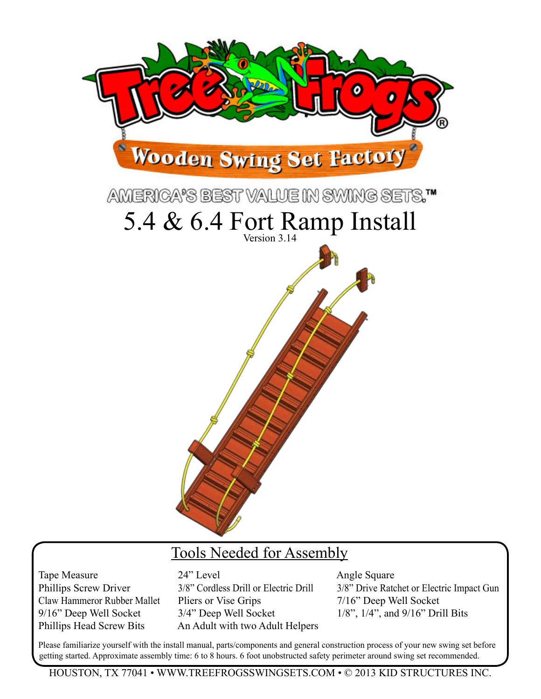

## Tools Needed for Assembly

Tape Measure 24" Level Angle Square Claw Hammeror Rubber Mallet Pliers or Vise Grips 7/16" Deep Well Socket 9/16" Deep Well Socket 3/4" Deep Well Socket 1/8", 1/4", and 9/16" Drill Bits Phillips Head Screw Bits An Adult with two Adult Helpers

Phillips Screw Driver 3/8" Cordless Drill or Electric Drill 3/8" Drive Ratchet or Electric Impact Gun

Please familiarize yourself with the install manual, parts/components and general construction process of your new swing set before getting started. Approximate assembly time: 6 to 8 hours. 6 foot unobstructed safety perimeter around swing set recommended.

Houston, TX 77041 • www.treefrogsswingsets.com • © 2013 kID STRUCTURES INC.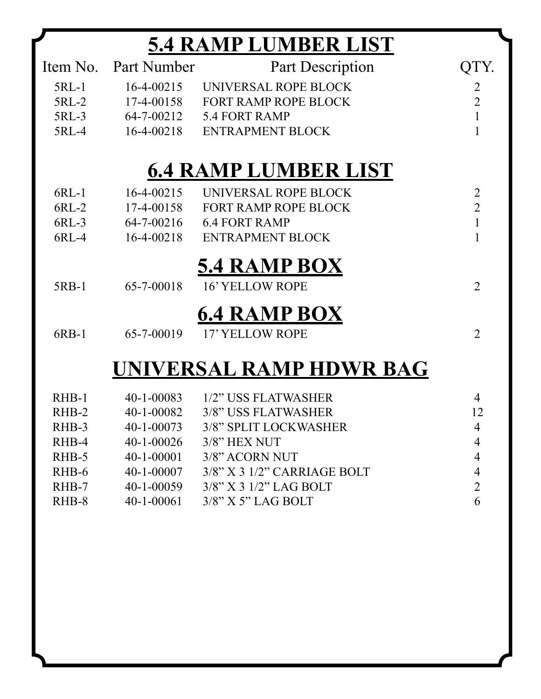## **5.4 Ramp Lumber List**

|         | Item No. Part Number | <b>Part Description</b>     |                |
|---------|----------------------|-----------------------------|----------------|
| $5RL-1$ | $16 - 4 - 00215$     | UNIVERSAL ROPE BLOCK        | $\overline{2}$ |
| 5RL-2   | 17-4-00158           | FORT RAMP ROPE BLOCK        | $\overline{2}$ |
| 5RL-3   | 64-7-00212           | 5.4 FORT RAMP               | $\mathbf{1}$   |
| 5RL-4   | $16 - 4 - 00218$     | <b>ENTRAPMENT BLOCK</b>     |                |
|         |                      | <b>6.4 RAMP LUMBER LIST</b> |                |
| $6RL-1$ | $16-4-00215$         | UNIVERSAL ROPE BLOCK        | $\overline{2}$ |
| $6RL-2$ | 17-4-00158           | <b>FORT RAMP ROPE BLOCK</b> | $\overline{2}$ |
| 6RL-3   | 64-7-00216           | <b>6.4 FORT RAMP</b>        | $\mathbf{1}$   |
| 6RL-4   | $16 - 4 - 00218$     | <b>ENTRAPMENT BLOCK</b>     |                |
|         |                      | <b>5.4 RAMP BOX</b>         |                |
| 5RB-1   | 65-7-00018           | <b>16' YELLOW ROPE</b>      | $\overline{2}$ |
|         |                      | <b>6.4 RAMP BOX</b>         |                |
| $6RB-1$ | 65-7-00019           | 17' YELLOW ROPE             | $\overline{2}$ |
|         |                      | UNIVERSAL RAMP HDWR BAG     |                |

| RHB-1   | $40 - 1 - 00083$ | 1/2" USS FLATWASHER               | 4              |
|---------|------------------|-----------------------------------|----------------|
| $RHB-2$ | $40 - 1 - 00082$ | 3/8" USS FLATWASHER               | 12             |
| RHB-3   | $40 - 1 - 00073$ | 3/8" SPLIT LOCKWASHER             | $\overline{4}$ |
| RHB-4   | $40 - 1 - 00026$ | $3/8$ " HEX NUT                   | $\overline{4}$ |
| RHB-5   | $40 - 1 - 00001$ | 3/8" ACORN NUT                    | $\overline{4}$ |
| RHB-6   | $40 - 1 - 00007$ | $3/8$ " X 3 $1/2$ " CARRIAGE BOLT | 4              |
| RHB-7   | $40 - 1 - 00059$ | $3/8$ " X 3 $1/2$ " LAG BOLT      | 2              |
| RHB-8   | $40 - 1 - 00061$ | $3/8$ " X 5" LAG BOLT             | 6              |
|         |                  |                                   |                |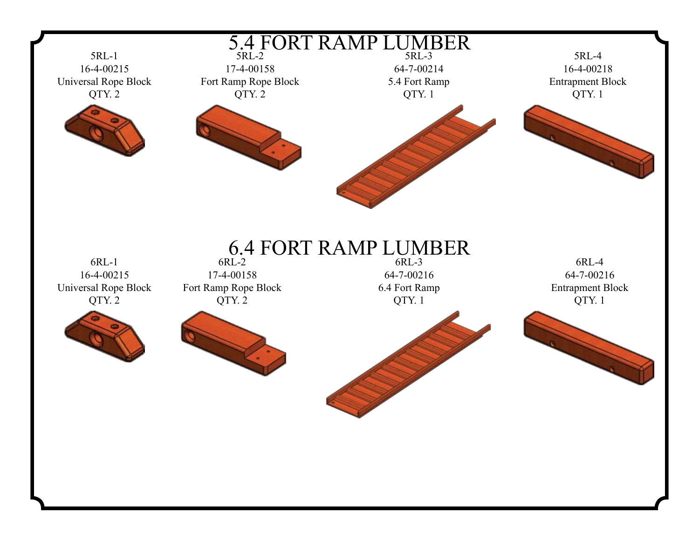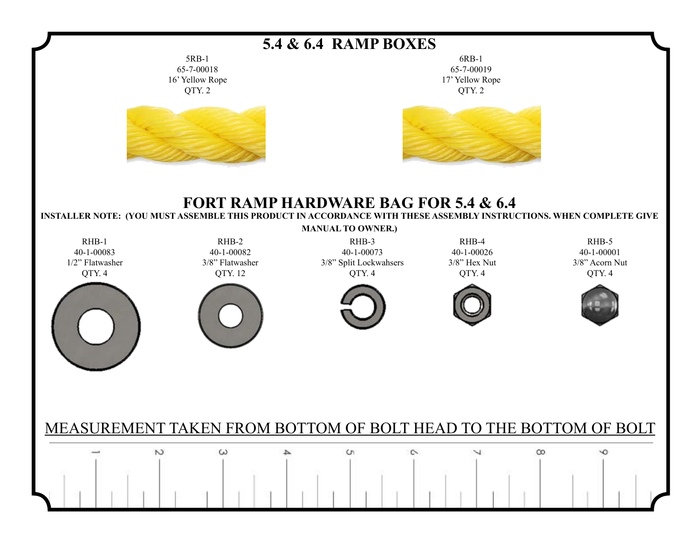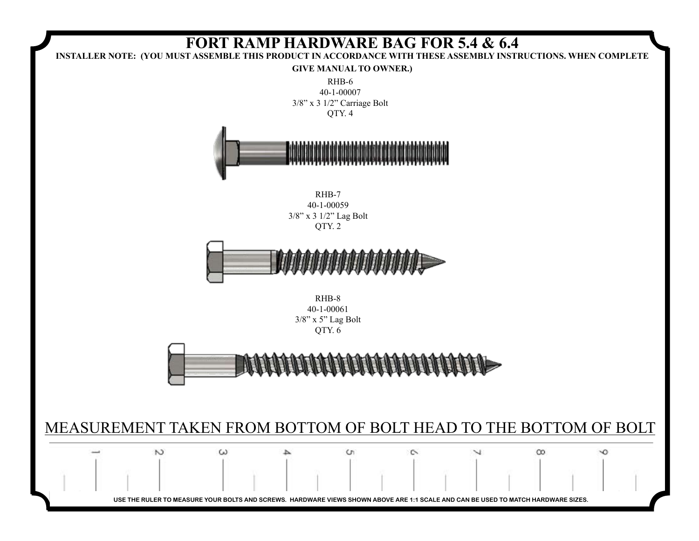![](_page_4_Figure_0.jpeg)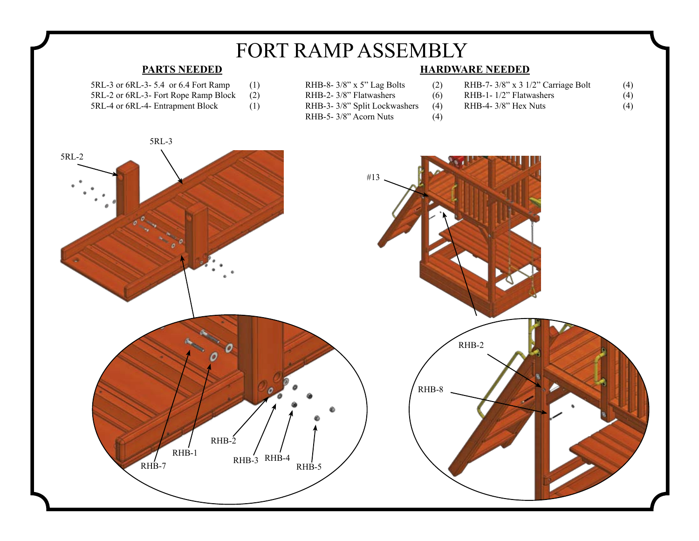![](_page_5_Figure_0.jpeg)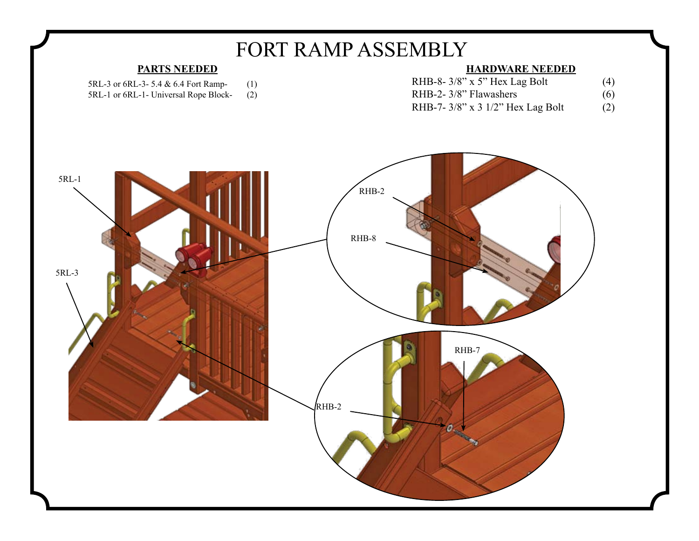![](_page_6_Figure_0.jpeg)